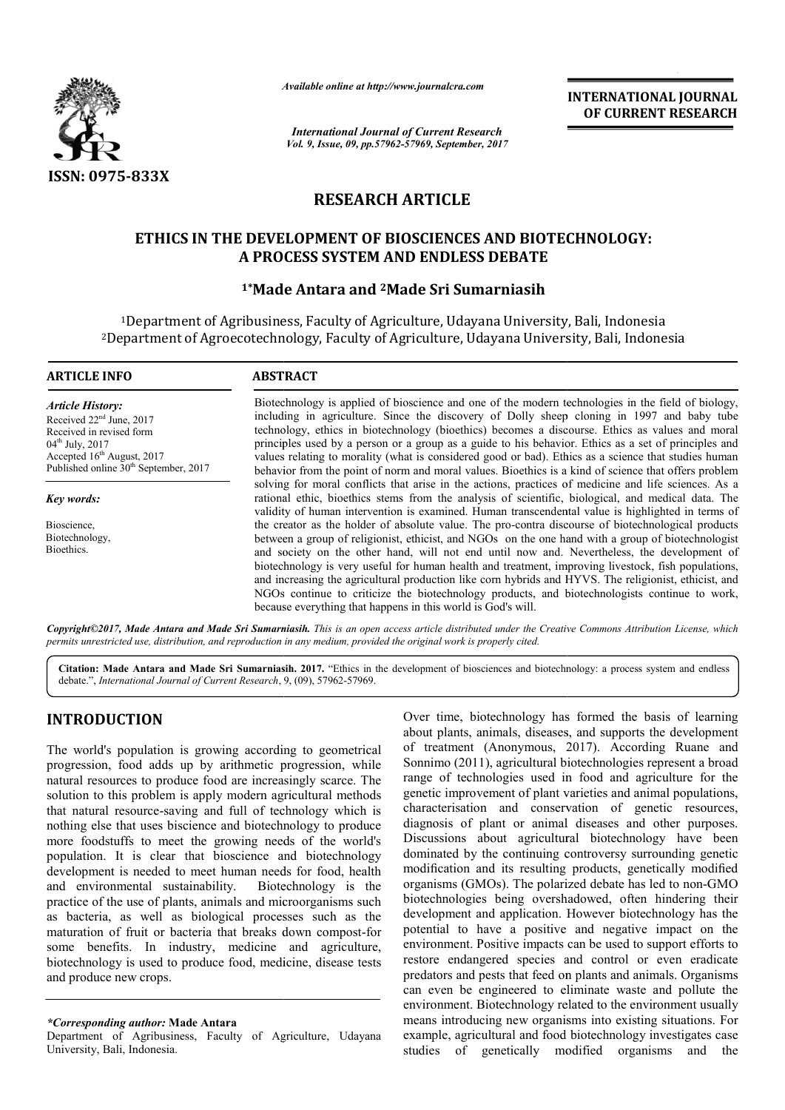

*Available online at http://www.journal http://www.journalcra.com*

*International Journal of Current Research Vol. 9, Issue, 09, pp.57962-57969, September, 2017* **INTERNATIONAL JOURNAL OF CURRENT RESEARCH** 

# **RESEARCH ARTICLE**

# **ETHICS IN THE DEVELOPMENT OF BIOSCIENCES AND BIOTECHNOLOGY: IN THE DEVELOPMENT A PROCESS SYSTEM AND ENDLESS DEBATE**

### **1\*Made Antara and Made 2Made Sri Sumarniasih**

<sup>1</sup>Department of Agribusiness, Faculty of Agriculture, Udayana University, Bali, Indonesia <sup>1</sup>Department of Agribusiness, Faculty of Agriculture, Udayana University, Bali, Indonesia<br><sup>2</sup>Department of Agroecotechnology, Faculty of Agriculture, Udayana University, Bali, Indonesia

#### **ARTICLE INFO ABSTRACT** Biotechnology is applied of bioscience and one of the modern technologies in the field of biology, including in agriculture. Since the discovery of Dolly sheep cloning in 1997 and baby tube Biotechnology is applied of bioscience and one of the modern technologies in the field of biology, including in agriculture. Since the discovery of Dolly sheep cloning in 1997 and baby tube technology, ethics in biotechnol principles used by a person or a group as a guide to his behavior. Ethics as a set of principles and values relating to morality (what is considered good or bad). Ethics as a science that studies human behavior from the point of norm and moral values. Bioethics is a kind of science that offers problem solving for moral conflicts that arise in the actions, practices of medicine and life sciences. As a rational ethic, bioethics stems from the analysis of scientific, biological, and medical data. The validity of human intervention is examined. Human transcendental value is highlighted in terms of the creator as the holder of absolute value. The pro-contra discourse of biotechnological products between a group of religionist, ethicist, and NGOs on the one hand with a group of biotechnologist and society on the other hand, will not end until now and. Nevertheless, the development of biotechnology is very useful for human health and treatment, improving livestock, fish populations and increasing the agricultural production like corn hybrids and HYVS. The religionist, ethicist, and and increasing the agricultural production like corn hybrids and HYVS. The religionist, ethicist, and NGOs continue to criticize the biotechnology products, and biotechnologists continue to work, because everything that happens in this world is God's will. *Article History:* Received 22<sup>nd</sup> June, 2017 Received in revised form 04<sup>th</sup> July, 2017 Accepted 16<sup>th</sup> August, 2017 Published online  $30<sup>th</sup>$  September, 2017 *Key words:* Bioscience, Biotechnology, **Bioethics** used by a person or a group as a guide to his behavior. Ethics as a set of principles and<br>ting to morality (what is considered good or bad). Ethics as a science that studies human<br>rom the point of norm and moral values. Bi in terms contrading the biotechnological in terms of the of absolute value. The pro-contra discourse of biotechnological products ligionist, ethicist, and NGOs on the one hand with a group of biotechnologist ther hand, wil

*Copyright©2017, Made Antara and Made Sri Sumarniasih Sumarniasih. This is an open access article distributed under the Creative Commons Att is an under Commons Attribution License, which permits unrestricted use, distribution, and reproduction in any medium, provided the original work is properly cited.*

Citation: Made Antara and Made Sri Sumarniasih. 2017. "Ethics in the development of biosciences and biotechnology: a process system and endless debate.", International Journal of Current Research, 9, (09), 57962-57969.

# **INTRODUCTION**

The world's population is growing according to geometrical progression, food adds up by arithmetic progression, while natural resources to produce food are increasingly scarce. The solution to this problem is apply modern agricultural methods that natural resource-saving and full of technology which is nothing else that uses biscience and biotechnology to produce more foodstuffs to meet the growing needs of the world's population. It is clear that bioscience and biotechnology development is needed to meet human needs for food, health and environmental sustainability. Biotechnology is the practice of the use of plants, animals and microorganisms such as bacteria, as well as biological processes such as the maturation of fruit or bacteria that breaks down compost-for some benefits. In industry, medicine and agriculture, biotechnology is used to produce food, medicine, disease tests and produce new crops. saving and full of technology which is<br>biscience and biotechnology to produce<br>meet the growing needs of the world's<br>ear that bioscience and biotechnology<br>d to meet human needs for food, health<br>sustainability. Biotechnology

*\*Corresponding author:* **Made Antara** 

Department of Agribusiness, Faculty of Agriculture, Udayana University, Bali, Indonesia.

Over time, biotechnology has formed the basis of learning about plants, animals, diseases, and supports the development Over time, biotechnology has formed the basis of learning about plants, animals, diseases, and supports the development of treatment (Anonymous, 2017). According Ruane and Sonnimo (2011), agricultural biotechnologies represent a broad range of technologies used in food and agriculture for the genetic improvement of plant varieties and animal populations, characterisation and conservation of genetic resources, diagnosis of plant or animal diseases and other purposes. Discussions about agricultural biotechnology have been dominated by the continuing controversy surrounding genetic modification and its resulting products, genetically modified organisms (GMOs). The polarized debate has led to non biotechnologies being overshadowed, often hindering their development and application. However biotechnology has the potential to have a positive and negative impact on the environment. Positive impacts can be used to support efforts to restore endangered species and control or even eradicate predators and pests that feed on plants and animals. Organisms can even be engineered to eliminate waste and pollute the environment. Biotechnology related to the environment usually means introducing new organisms into existing situations. For example, agricultural and food biotechnology investigates case studies of genetically modified organisms and the o (2011), agricultural biotechnologies represent a broad<br>of technologies used in food and agriculture for the<br>improvement of plant varieties and animal populations,<br>risation and conservation of genetic resources,<br>is of pla nated by the continuing controversy surrounding genetic<br>fication and its resulting products, genetically modified<br>nisms (GMOs). The polarized debate has led to non-GMO biotechnologies being overshadowed, often hindering their development and application. However biotechnology has the potential to have a positive and negative impact on the environment. Positive impacts can be used to supp **INTERNATIONAL JOURNAL**<br> **INTERNATIONAL DOURNAL**<br> **OF CURRENT RESEARCH**<br> **OF CURRENT RESEARCH**<br> **OF CURRENT RESEARCH**<br> **AND BIOTECHNOLOGY:**<br> **DEMATE**<br> **EXERCE EXERCE AND AND CONSETS (AND AND CONSETS)**<br> **AND AND CONSETS AN**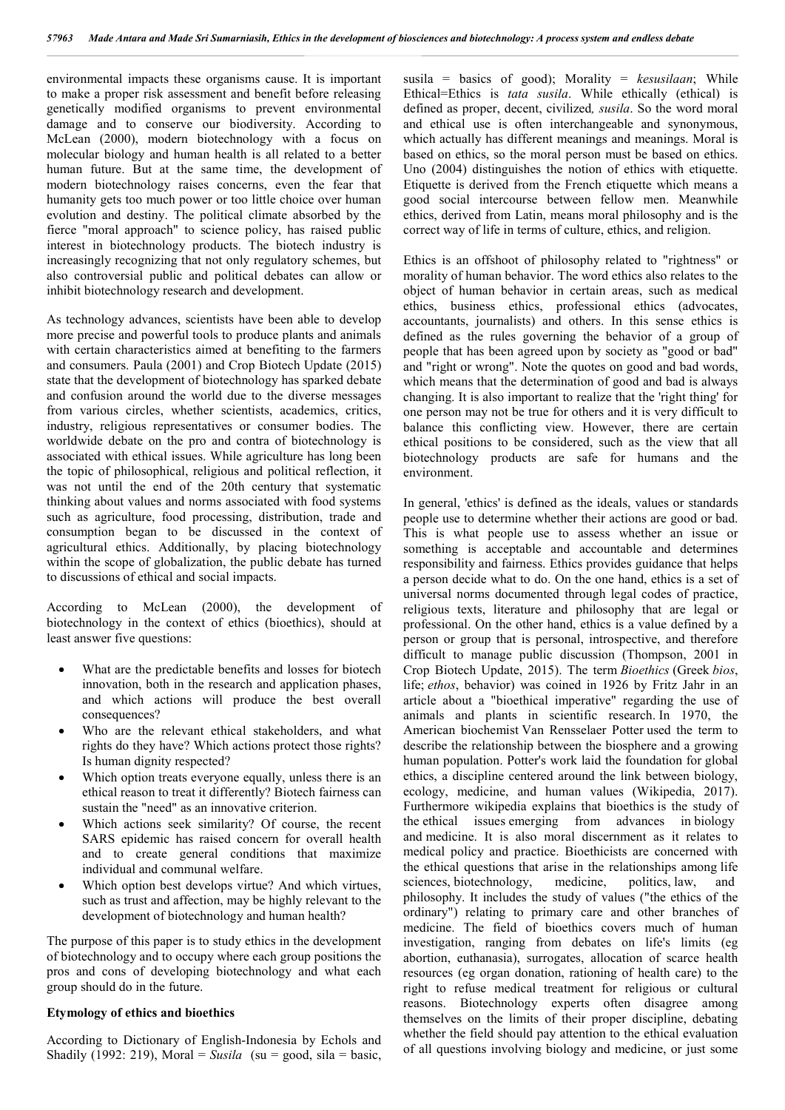environmental impacts these organisms cause. It is important to make a proper risk assessment and benefit before releasing genetically modified organisms to prevent environmental damage and to conserve our biodiversity. According to McLean (2000), modern biotechnology with a focus on molecular biology and human health is all related to a better human future. But at the same time, the development of modern biotechnology raises concerns, even the fear that humanity gets too much power or too little choice over human evolution and destiny. The political climate absorbed by the fierce "moral approach" to science policy, has raised public interest in biotechnology products. The biotech industry is increasingly recognizing that not only regulatory schemes, but also controversial public and political debates can allow or inhibit biotechnology research and development.

As technology advances, scientists have been able to develop more precise and powerful tools to produce plants and animals with certain characteristics aimed at benefiting to the farmers and consumers. Paula (2001) and Crop Biotech Update (2015) state that the development of biotechnology has sparked debate and confusion around the world due to the diverse messages from various circles, whether scientists, academics, critics, industry, religious representatives or consumer bodies. The worldwide debate on the pro and contra of biotechnology is associated with ethical issues. While agriculture has long been the topic of philosophical, religious and political reflection, it was not until the end of the 20th century that systematic thinking about values and norms associated with food systems such as agriculture, food processing, distribution, trade and consumption began to be discussed in the context of agricultural ethics. Additionally, by placing biotechnology within the scope of globalization, the public debate has turned to discussions of ethical and social impacts.

According to McLean (2000), the development of biotechnology in the context of ethics (bioethics), should at least answer five questions:

- What are the predictable benefits and losses for biotech innovation, both in the research and application phases, and which actions will produce the best overall consequences?
- Who are the relevant ethical stakeholders, and what rights do they have? Which actions protect those rights? Is human dignity respected?
- Which option treats everyone equally, unless there is an ethical reason to treat it differently? Biotech fairness can sustain the "need" as an innovative criterion.
- Which actions seek similarity? Of course, the recent SARS epidemic has raised concern for overall health and to create general conditions that maximize individual and communal welfare.
- Which option best develops virtue? And which virtues, such as trust and affection, may be highly relevant to the development of biotechnology and human health?

The purpose of this paper is to study ethics in the development of biotechnology and to occupy where each group positions the pros and cons of developing biotechnology and what each group should do in the future.

#### **Etymology of ethics and bioethics**

According to Dictionary of English-Indonesia by Echols and Shadily (1992: 219), Moral = *Susila* (su = good, sila = basic, susila = basics of good); Morality = *kesusilaan*; While Ethical=Ethics is *tata susila*. While ethically (ethical) is defined as proper, decent, civilized*, susila*. So the word moral and ethical use is often interchangeable and synonymous, which actually has different meanings and meanings. Moral is based on ethics, so the moral person must be based on ethics. Uno (2004) distinguishes the notion of ethics with etiquette. Etiquette is derived from the French etiquette which means a good social intercourse between fellow men. Meanwhile ethics, derived from Latin, means moral philosophy and is the correct way of life in terms of culture, ethics, and religion.

Ethics is an offshoot of philosophy related to "rightness" or morality of human behavior. The word ethics also relates to the object of human behavior in certain areas, such as medical ethics, business ethics, professional ethics (advocates, accountants, journalists) and others. In this sense ethics is defined as the rules governing the behavior of a group of people that has been agreed upon by society as "good or bad" and "right or wrong". Note the quotes on good and bad words, which means that the determination of good and bad is always changing. It is also important to realize that the 'right thing' for one person may not be true for others and it is very difficult to balance this conflicting view. However, there are certain ethical positions to be considered, such as the view that all biotechnology products are safe for humans and the environment.

In general, 'ethics' is defined as the ideals, values or standards people use to determine whether their actions are good or bad. This is what people use to assess whether an issue or something is acceptable and accountable and determines responsibility and fairness. Ethics provides guidance that helps a person decide what to do. On the one hand, ethics is a set of universal norms documented through legal codes of practice, religious texts, literature and philosophy that are legal or professional. On the other hand, ethics is a value defined by a person or group that is personal, introspective, and therefore difficult to manage public discussion (Thompson, 2001 in Crop Biotech Update, 2015). The term *Bioethics* (Greek *bios*, life; *ethos*, behavior) was coined in 1926 by Fritz Jahr in an article about a "bioethical imperative" regarding the use of animals and plants in scientific research. In 1970, the American biochemist Van Rensselaer Potter used the term to describe the relationship between the biosphere and a growing human population. Potter's work laid the foundation for global ethics, a discipline centered around the link between biology, ecology, medicine, and human values (Wikipedia, 2017). Furthermore wikipedia explains that bioethics is the study of the ethical issues emerging from advances in biology and medicine. It is also moral discernment as it relates to medical policy and practice. Bioethicists are concerned with the ethical questions that arise in the relationships among life sciences, biotechnology, medicine, politics, law, and philosophy. It includes the study of values ("the ethics of the ordinary") relating to primary care and other branches of medicine. The field of bioethics covers much of human investigation, ranging from debates on life's limits (eg abortion, euthanasia), surrogates, allocation of scarce health resources (eg organ donation, rationing of health care) to the right to refuse medical treatment for religious or cultural reasons. Biotechnology experts often disagree among themselves on the limits of their proper discipline, debating whether the field should pay attention to the ethical evaluation of all questions involving biology and medicine, or just some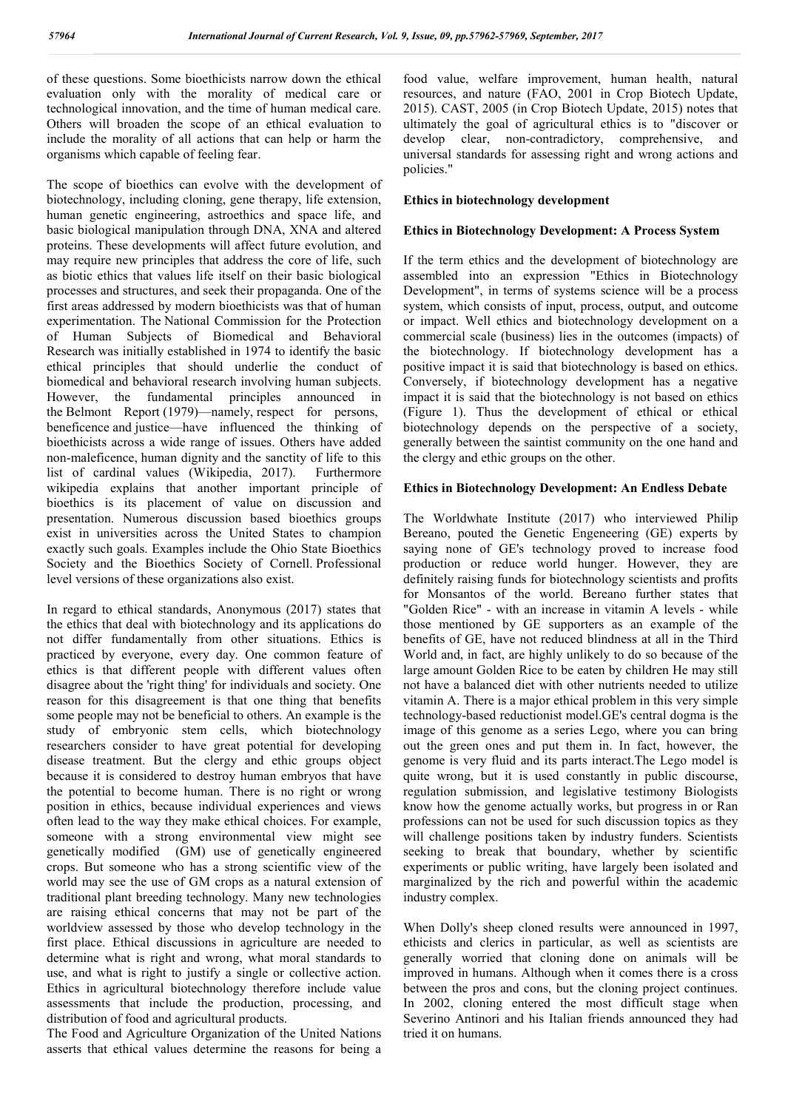of these questions. Some bioethicists narrow down the ethical evaluation only with the morality of medical care or technological innovation, and the time of human medical care. Others will broaden the scope of an ethical evaluation to include the morality of all actions that can help or harm the organisms which capable of feeling fear.

The scope of bioethics can evolve with the development of biotechnology, including cloning, gene therapy, life extension, human genetic engineering, astroethics and space life, and basic biological manipulation through DNA, XNA and altered proteins. These developments will affect future evolution, and may require new principles that address the core of life, such as biotic ethics that values life itself on their basic biological processes and structures, and seek their propaganda. One of the first areas addressed by modern bioethicists was that of human experimentation. The National Commission for the Protection of Human Subjects of Biomedical and Behavioral Research was initially established in 1974 to identify the basic ethical principles that should underlie the conduct of biomedical and behavioral research involving human subjects. However, the fundamental principles announced in the Belmont Report (1979)—namely, respect for persons, beneficence and justice—have influenced the thinking of bioethicists across a wide range of issues. Others have added non-maleficence, human dignity and the sanctity of life to this list of cardinal values (Wikipedia, 2017). Furthermore wikipedia explains that another important principle of bioethics is its placement of value on discussion and presentation. Numerous discussion based bioethics groups exist in universities across the United States to champion exactly such goals. Examples include the Ohio State Bioethics Society and the Bioethics Society of Cornell. Professional level versions of these organizations also exist.

In regard to ethical standards, Anonymous (2017) states that the ethics that deal with biotechnology and its applications do not differ fundamentally from other situations. Ethics is practiced by everyone, every day. One common feature of ethics is that different people with different values often disagree about the 'right thing' for individuals and society. One reason for this disagreement is that one thing that benefits some people may not be beneficial to others. An example is the study of embryonic stem cells, which biotechnology researchers consider to have great potential for developing disease treatment. But the clergy and ethic groups object because it is considered to destroy human embryos that have the potential to become human. There is no right or wrong position in ethics, because individual experiences and views often lead to the way they make ethical choices. For example, someone with a strong environmental view might see genetically modified (GM) use of genetically engineered crops. But someone who has a strong scientific view of the world may see the use of GM crops as a natural extension of traditional plant breeding technology. Many new technologies are raising ethical concerns that may not be part of the worldview assessed by those who develop technology in the first place. Ethical discussions in agriculture are needed to determine what is right and wrong, what moral standards to use, and what is right to justify a single or collective action. Ethics in agricultural biotechnology therefore include value assessments that include the production, processing, and distribution of food and agricultural products.

The Food and Agriculture Organization of the United Nations asserts that ethical values determine the reasons for being a

food value, welfare improvement, human health, natural resources, and nature (FAO, 2001 in Crop Biotech Update, 2015). CAST, 2005 (in Crop Biotech Update, 2015) notes that ultimately the goal of agricultural ethics is to "discover or develop clear, non-contradictory, comprehensive, and universal standards for assessing right and wrong actions and policies."

### **Ethics in biotechnology development**

## **Ethics in Biotechnology Development: A Process System**

If the term ethics and the development of biotechnology are assembled into an expression "Ethics in Biotechnology Development", in terms of systems science will be a process system, which consists of input, process, output, and outcome or impact. Well ethics and biotechnology development on a commercial scale (business) lies in the outcomes (impacts) of the biotechnology. If biotechnology development has a positive impact it is said that biotechnology is based on ethics. Conversely, if biotechnology development has a negative impact it is said that the biotechnology is not based on ethics (Figure 1). Thus the development of ethical or ethical biotechnology depends on the perspective of a society, generally between the saintist community on the one hand and the clergy and ethic groups on the other.

# **Ethics in Biotechnology Development: An Endless Debate**

The Worldwhate Institute (2017) who interviewed Philip Bereano, pouted the Genetic Engeneering (GE) experts by saying none of GE's technology proved to increase food production or reduce world hunger. However, they are definitely raising funds for biotechnology scientists and profits for Monsantos of the world. Bereano further states that "Golden Rice" - with an increase in vitamin A levels - while those mentioned by GE supporters as an example of the benefits of GE, have not reduced blindness at all in the Third World and, in fact, are highly unlikely to do so because of the large amount Golden Rice to be eaten by children He may still not have a balanced diet with other nutrients needed to utilize vitamin A. There is a major ethical problem in this very simple technology-based reductionist model.GE's central dogma is the image of this genome as a series Lego, where you can bring out the green ones and put them in. In fact, however, the genome is very fluid and its parts interact.The Lego model is quite wrong, but it is used constantly in public discourse, regulation submission, and legislative testimony Biologists know how the genome actually works, but progress in or Ran professions can not be used for such discussion topics as they will challenge positions taken by industry funders. Scientists seeking to break that boundary, whether by scientific experiments or public writing, have largely been isolated and marginalized by the rich and powerful within the academic industry complex.

When Dolly's sheep cloned results were announced in 1997, ethicists and clerics in particular, as well as scientists are generally worried that cloning done on animals will be improved in humans. Although when it comes there is a cross between the pros and cons, but the cloning project continues. In 2002, cloning entered the most difficult stage when Severino Antinori and his Italian friends announced they had tried it on humans.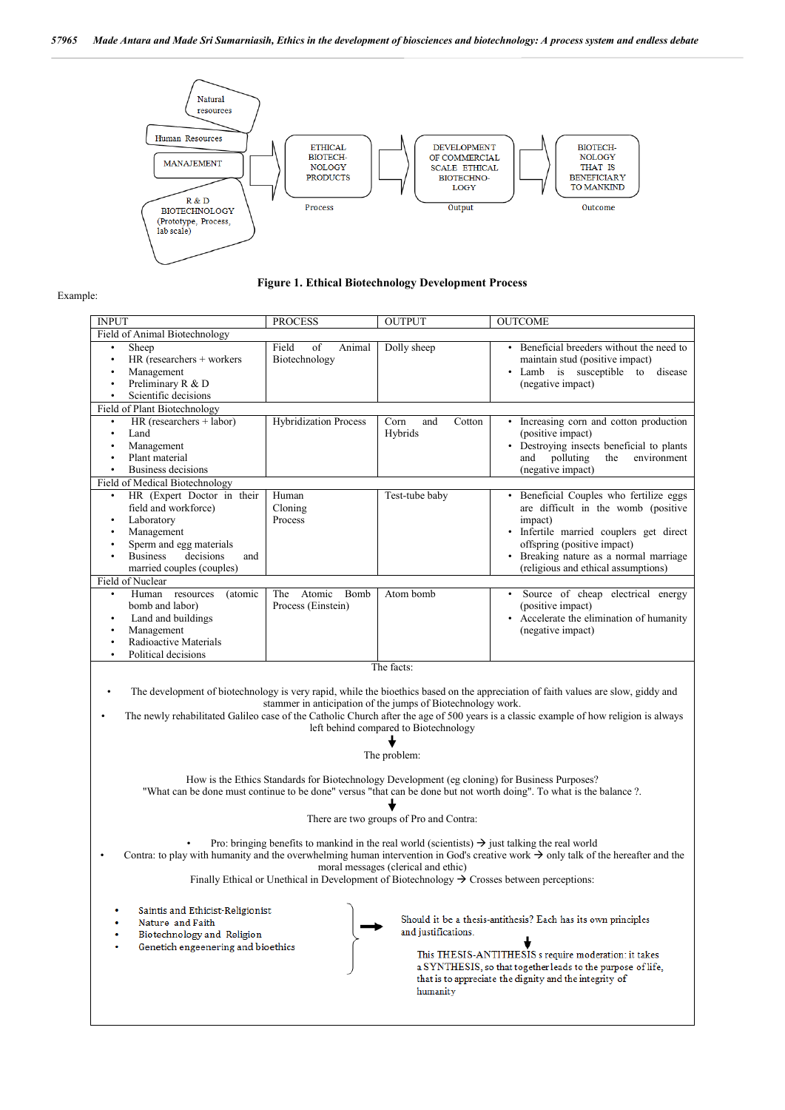

#### Example:

| <b>Figure 1. Ethical Biotechnology Development Process</b> |
|------------------------------------------------------------|
|------------------------------------------------------------|

| <b>INPUT</b>                                                                                                                                                                                                                                                                                                                                                                                                                                                                                                                                                                                                                                                                                                                                                                              | <b>PROCESS</b>                         | <b>OUTPUT</b>                    | <b>OUTCOME</b>                                                                                                                                                                                                                                       |  |
|-------------------------------------------------------------------------------------------------------------------------------------------------------------------------------------------------------------------------------------------------------------------------------------------------------------------------------------------------------------------------------------------------------------------------------------------------------------------------------------------------------------------------------------------------------------------------------------------------------------------------------------------------------------------------------------------------------------------------------------------------------------------------------------------|----------------------------------------|----------------------------------|------------------------------------------------------------------------------------------------------------------------------------------------------------------------------------------------------------------------------------------------------|--|
| Field of Animal Biotechnology                                                                                                                                                                                                                                                                                                                                                                                                                                                                                                                                                                                                                                                                                                                                                             |                                        |                                  |                                                                                                                                                                                                                                                      |  |
| Sheep<br>$\bullet$<br>HR (researchers + workers<br>$\bullet$<br>Management<br>$\bullet$<br>Preliminary R & D<br>$\bullet$<br>Scientific decisions<br>$\bullet$                                                                                                                                                                                                                                                                                                                                                                                                                                                                                                                                                                                                                            | Field<br>of<br>Animal<br>Biotechnology | Dolly sheep                      | • Beneficial breeders without the need to<br>maintain stud (positive impact)<br>• Lamb is susceptible to<br>disease<br>(negative impact)                                                                                                             |  |
| Field of Plant Biotechnology                                                                                                                                                                                                                                                                                                                                                                                                                                                                                                                                                                                                                                                                                                                                                              |                                        |                                  |                                                                                                                                                                                                                                                      |  |
| HR (researchers + labor)<br>$\bullet$<br>Land<br>$\bullet$<br>Management<br>$\bullet$<br>Plant material<br>$\bullet$<br>Business decisions<br>$\bullet$                                                                                                                                                                                                                                                                                                                                                                                                                                                                                                                                                                                                                                   | <b>Hybridization Process</b>           | Corn<br>and<br>Cotton<br>Hybrids | • Increasing corn and cotton production<br>(positive impact)<br>• Destroying insects beneficial to plants<br>polluting<br>the<br>environment<br>and<br>(negative impact)                                                                             |  |
| Field of Medical Biotechnology                                                                                                                                                                                                                                                                                                                                                                                                                                                                                                                                                                                                                                                                                                                                                            |                                        |                                  |                                                                                                                                                                                                                                                      |  |
| HR (Expert Doctor in their<br>$\bullet$<br>field and workforce)<br>Laboratory<br>٠<br>Management<br>$\bullet$<br>Sperm and egg materials<br>$\bullet$<br><b>Business</b><br>decisions<br>and<br>$\bullet$<br>married couples (couples)<br>Field of Nuclear                                                                                                                                                                                                                                                                                                                                                                                                                                                                                                                                | Human<br>Cloning<br>Process            | Test-tube baby                   | · Beneficial Couples who fertilize eggs<br>are difficult in the womb (positive<br>impact)<br>· Infertile married couplers get direct<br>offspring (positive impact)<br>• Breaking nature as a normal marriage<br>(religious and ethical assumptions) |  |
| ٠                                                                                                                                                                                                                                                                                                                                                                                                                                                                                                                                                                                                                                                                                                                                                                                         | Atomic<br>Bomb                         |                                  |                                                                                                                                                                                                                                                      |  |
| Human resources<br>(atomic<br>bomb and labor)<br>Land and buildings<br>٠<br>Management<br>٠<br>Radioactive Materials<br>$\bullet$<br>Political decisions<br>$\bullet$                                                                                                                                                                                                                                                                                                                                                                                                                                                                                                                                                                                                                     | The<br>Process (Einstein)              | Atom bomb                        | Source of cheap electrical energy<br>(positive impact)<br>• Accelerate the elimination of humanity<br>(negative impact)                                                                                                                              |  |
| The facts:                                                                                                                                                                                                                                                                                                                                                                                                                                                                                                                                                                                                                                                                                                                                                                                |                                        |                                  |                                                                                                                                                                                                                                                      |  |
| The development of biotechnology is very rapid, while the bioethics based on the appreciation of faith values are slow, giddy and<br>٠<br>stammer in anticipation of the jumps of Biotechnology work.<br>The newly rehabilitated Galileo case of the Catholic Church after the age of 500 years is a classic example of how religion is always<br>left behind compared to Biotechnology<br>The problem:<br>How is the Ethics Standards for Biotechnology Development (eg cloning) for Business Purposes?<br>"What can be done must continue to be done" versus "that can be done but not worth doing". To what is the balance ?.<br>There are two groups of Pro and Contra:<br>Pro: bringing benefits to mankind in the real world (scientists) $\rightarrow$ just talking the real world |                                        |                                  |                                                                                                                                                                                                                                                      |  |
| Contra: to play with humanity and the overwhelming human intervention in God's creative work $\rightarrow$ only talk of the hereafter and the<br>moral messages (clerical and ethic)<br>Finally Ethical or Unethical in Development of Biotechnology $\rightarrow$ Crosses between perceptions:                                                                                                                                                                                                                                                                                                                                                                                                                                                                                           |                                        |                                  |                                                                                                                                                                                                                                                      |  |
| Saintis and Ethicist-Religionist<br>۰<br>Nature and Faith<br>Biotechnology and Religion<br>Genetich engeenering and bioethics                                                                                                                                                                                                                                                                                                                                                                                                                                                                                                                                                                                                                                                             |                                        | and justifications.<br>humanity  | Should it be a thesis-antithesis? Each has its own principles<br>This THESIS-ANTITHESIS s require moderation: it takes<br>a SYNTHESIS, so that together leads to the purpose of life,<br>that is to appreciate the dignity and the integrity of      |  |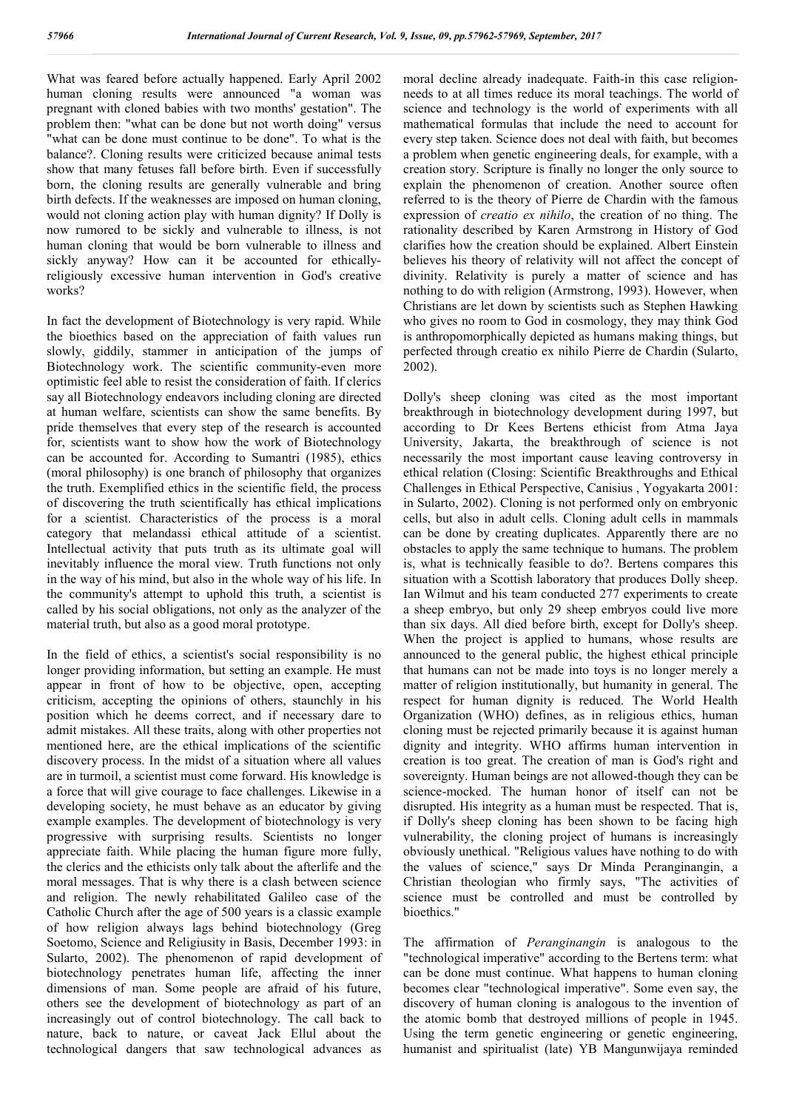What was feared before actually happened. Early April 2002 human cloning results were announced "a woman was pregnant with cloned babies with two months' gestation". The problem then: "what can be done but not worth doing" versus "what can be done must continue to be done". To what is the balance?. Cloning results were criticized because animal tests show that many fetuses fall before birth. Even if successfully born, the cloning results are generally vulnerable and bring birth defects. If the weaknesses are imposed on human cloning, would not cloning action play with human dignity? If Dolly is now rumored to be sickly and vulnerable to illness, is not human cloning that would be born vulnerable to illness and sickly anyway? How can it be accounted for ethicallyreligiously excessive human intervention in God's creative works?

In fact the development of Biotechnology is very rapid. While the bioethics based on the appreciation of faith values run slowly, giddily, stammer in anticipation of the jumps of Biotechnology work. The scientific community-even more optimistic feel able to resist the consideration of faith. If clerics say all Biotechnology endeavors including cloning are directed at human welfare, scientists can show the same benefits. By pride themselves that every step of the research is accounted for, scientists want to show how the work of Biotechnology can be accounted for. According to Sumantri (1985), ethics (moral philosophy) is one branch of philosophy that organizes the truth. Exemplified ethics in the scientific field, the process of discovering the truth scientifically has ethical implications for a scientist. Characteristics of the process is a moral category that melandassi ethical attitude of a scientist. Intellectual activity that puts truth as its ultimate goal will inevitably influence the moral view. Truth functions not only in the way of his mind, but also in the whole way of his life. In the community's attempt to uphold this truth, a scientist is called by his social obligations, not only as the analyzer of the material truth, but also as a good moral prototype.

In the field of ethics, a scientist's social responsibility is no longer providing information, but setting an example. He must appear in front of how to be objective, open, accepting criticism, accepting the opinions of others, staunchly in his position which he deems correct, and if necessary dare to admit mistakes. All these traits, along with other properties not mentioned here, are the ethical implications of the scientific discovery process. In the midst of a situation where all values are in turmoil, a scientist must come forward. His knowledge is a force that will give courage to face challenges. Likewise in a developing society, he must behave as an educator by giving example examples. The development of biotechnology is very progressive with surprising results. Scientists no longer appreciate faith. While placing the human figure more fully, the clerics and the ethicists only talk about the afterlife and the moral messages. That is why there is a clash between science and religion. The newly rehabilitated Galileo case of the Catholic Church after the age of 500 years is a classic example of how religion always lags behind biotechnology (Greg Soetomo, Science and Religiusity in Basis, December 1993: in Sularto, 2002). The phenomenon of rapid development of biotechnology penetrates human life, affecting the inner dimensions of man. Some people are afraid of his future, others see the development of biotechnology as part of an increasingly out of control biotechnology. The call back to nature, back to nature, or caveat Jack Ellul about the technological dangers that saw technological advances as

moral decline already inadequate. Faith-in this case religionneeds to at all times reduce its moral teachings. The world of science and technology is the world of experiments with all mathematical formulas that include the need to account for every step taken. Science does not deal with faith, but becomes a problem when genetic engineering deals, for example, with a creation story. Scripture is finally no longer the only source to explain the phenomenon of creation. Another source often referred to is the theory of Pierre de Chardin with the famous expression of *creatio ex nihilo*, the creation of no thing. The rationality described by Karen Armstrong in History of God clarifies how the creation should be explained. Albert Einstein believes his theory of relativity will not affect the concept of divinity. Relativity is purely a matter of science and has nothing to do with religion (Armstrong, 1993). However, when Christians are let down by scientists such as Stephen Hawking who gives no room to God in cosmology, they may think God is anthropomorphically depicted as humans making things, but perfected through creatio ex nihilo Pierre de Chardin (Sularto, 2002).

Dolly's sheep cloning was cited as the most important breakthrough in biotechnology development during 1997, but according to Dr Kees Bertens ethicist from Atma Jaya University, Jakarta, the breakthrough of science is not necessarily the most important cause leaving controversy in ethical relation (Closing: Scientific Breakthroughs and Ethical Challenges in Ethical Perspective, Canisius , Yogyakarta 2001: in Sularto, 2002). Cloning is not performed only on embryonic cells, but also in adult cells. Cloning adult cells in mammals can be done by creating duplicates. Apparently there are no obstacles to apply the same technique to humans. The problem is, what is technically feasible to do?. Bertens compares this situation with a Scottish laboratory that produces Dolly sheep. Ian Wilmut and his team conducted 277 experiments to create a sheep embryo, but only 29 sheep embryos could live more than six days. All died before birth, except for Dolly's sheep. When the project is applied to humans, whose results are announced to the general public, the highest ethical principle that humans can not be made into toys is no longer merely a matter of religion institutionally, but humanity in general. The respect for human dignity is reduced. The World Health Organization (WHO) defines, as in religious ethics, human cloning must be rejected primarily because it is against human dignity and integrity. WHO affirms human intervention in creation is too great. The creation of man is God's right and sovereignty. Human beings are not allowed-though they can be science-mocked. The human honor of itself can not be disrupted. His integrity as a human must be respected. That is, if Dolly's sheep cloning has been shown to be facing high vulnerability, the cloning project of humans is increasingly obviously unethical. "Religious values have nothing to do with the values of science," says Dr Minda Peranginangin, a Christian theologian who firmly says, "The activities of science must be controlled and must be controlled by bioethics."

The affirmation of *Peranginangin* is analogous to the "technological imperative" according to the Bertens term: what can be done must continue. What happens to human cloning becomes clear "technological imperative". Some even say, the discovery of human cloning is analogous to the invention of the atomic bomb that destroyed millions of people in 1945. Using the term genetic engineering or genetic engineering, humanist and spiritualist (late) YB Mangunwijaya reminded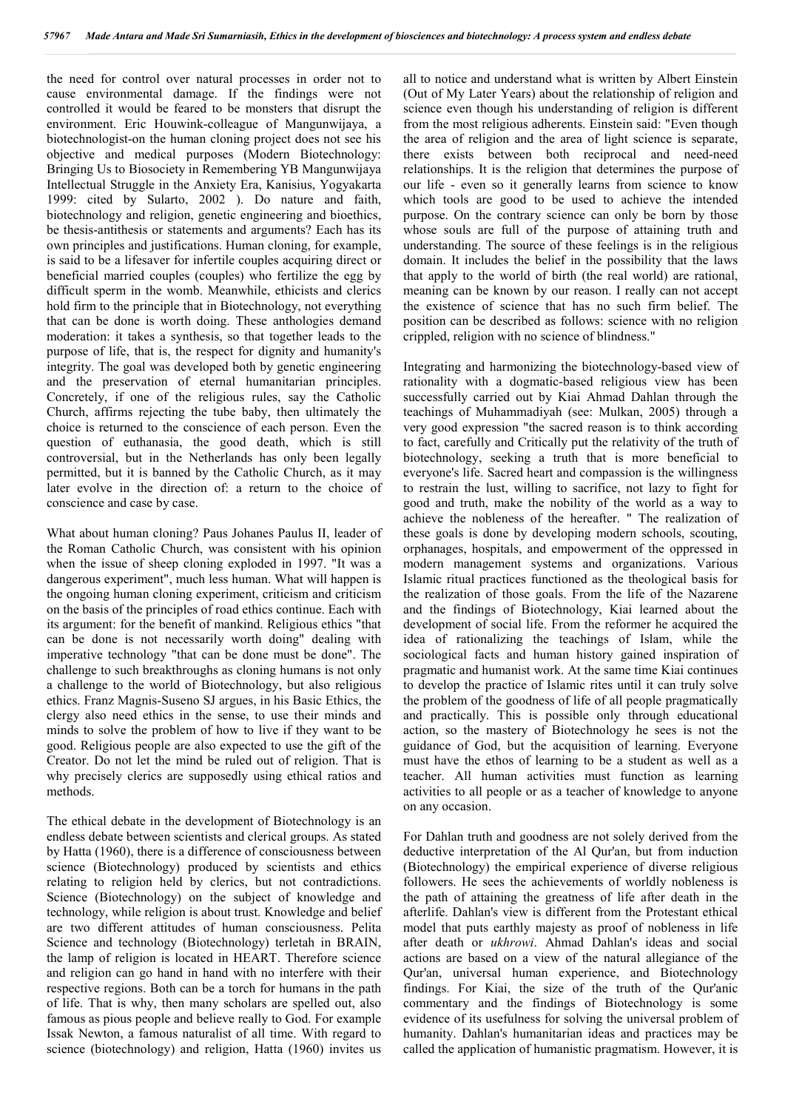the need for control over natural processes in order not to cause environmental damage. If the findings were not controlled it would be feared to be monsters that disrupt the environment. Eric Houwink-colleague of Mangunwijaya, a biotechnologist-on the human cloning project does not see his objective and medical purposes (Modern Biotechnology: Bringing Us to Biosociety in Remembering YB Mangunwijaya Intellectual Struggle in the Anxiety Era, Kanisius, Yogyakarta 1999: cited by Sularto, 2002 ). Do nature and faith, biotechnology and religion, genetic engineering and bioethics, be thesis-antithesis or statements and arguments? Each has its own principles and justifications. Human cloning, for example, is said to be a lifesaver for infertile couples acquiring direct or beneficial married couples (couples) who fertilize the egg by difficult sperm in the womb. Meanwhile, ethicists and clerics hold firm to the principle that in Biotechnology, not everything that can be done is worth doing. These anthologies demand moderation: it takes a synthesis, so that together leads to the purpose of life, that is, the respect for dignity and humanity's integrity. The goal was developed both by genetic engineering and the preservation of eternal humanitarian principles. Concretely, if one of the religious rules, say the Catholic Church, affirms rejecting the tube baby, then ultimately the choice is returned to the conscience of each person. Even the question of euthanasia, the good death, which is still controversial, but in the Netherlands has only been legally permitted, but it is banned by the Catholic Church, as it may later evolve in the direction of: a return to the choice of conscience and case by case.

What about human cloning? Paus Johanes Paulus II, leader of the Roman Catholic Church, was consistent with his opinion when the issue of sheep cloning exploded in 1997. "It was a dangerous experiment", much less human. What will happen is the ongoing human cloning experiment, criticism and criticism on the basis of the principles of road ethics continue. Each with its argument: for the benefit of mankind. Religious ethics "that can be done is not necessarily worth doing" dealing with imperative technology "that can be done must be done". The challenge to such breakthroughs as cloning humans is not only a challenge to the world of Biotechnology, but also religious ethics. Franz Magnis-Suseno SJ argues, in his Basic Ethics, the clergy also need ethics in the sense, to use their minds and minds to solve the problem of how to live if they want to be good. Religious people are also expected to use the gift of the Creator. Do not let the mind be ruled out of religion. That is why precisely clerics are supposedly using ethical ratios and methods.

The ethical debate in the development of Biotechnology is an endless debate between scientists and clerical groups. As stated by Hatta (1960), there is a difference of consciousness between science (Biotechnology) produced by scientists and ethics relating to religion held by clerics, but not contradictions. Science (Biotechnology) on the subject of knowledge and technology, while religion is about trust. Knowledge and belief are two different attitudes of human consciousness. Pelita Science and technology (Biotechnology) terletah in BRAIN, the lamp of religion is located in HEART. Therefore science and religion can go hand in hand with no interfere with their respective regions. Both can be a torch for humans in the path of life. That is why, then many scholars are spelled out, also famous as pious people and believe really to God. For example Issak Newton, a famous naturalist of all time. With regard to science (biotechnology) and religion, Hatta (1960) invites us

all to notice and understand what is written by Albert Einstein (Out of My Later Years) about the relationship of religion and science even though his understanding of religion is different from the most religious adherents. Einstein said: "Even though the area of religion and the area of light science is separate, there exists between both reciprocal and need-need relationships. It is the religion that determines the purpose of our life - even so it generally learns from science to know which tools are good to be used to achieve the intended purpose. On the contrary science can only be born by those whose souls are full of the purpose of attaining truth and understanding. The source of these feelings is in the religious domain. It includes the belief in the possibility that the laws that apply to the world of birth (the real world) are rational, meaning can be known by our reason. I really can not accept the existence of science that has no such firm belief. The position can be described as follows: science with no religion crippled, religion with no science of blindness."

Integrating and harmonizing the biotechnology-based view of rationality with a dogmatic-based religious view has been successfully carried out by Kiai Ahmad Dahlan through the teachings of Muhammadiyah (see: Mulkan, 2005) through a very good expression "the sacred reason is to think according to fact, carefully and Critically put the relativity of the truth of biotechnology, seeking a truth that is more beneficial to everyone's life. Sacred heart and compassion is the willingness to restrain the lust, willing to sacrifice, not lazy to fight for good and truth, make the nobility of the world as a way to achieve the nobleness of the hereafter. " The realization of these goals is done by developing modern schools, scouting, orphanages, hospitals, and empowerment of the oppressed in modern management systems and organizations. Various Islamic ritual practices functioned as the theological basis for the realization of those goals. From the life of the Nazarene and the findings of Biotechnology, Kiai learned about the development of social life. From the reformer he acquired the idea of rationalizing the teachings of Islam, while the sociological facts and human history gained inspiration of pragmatic and humanist work. At the same time Kiai continues to develop the practice of Islamic rites until it can truly solve the problem of the goodness of life of all people pragmatically and practically. This is possible only through educational action, so the mastery of Biotechnology he sees is not the guidance of God, but the acquisition of learning. Everyone must have the ethos of learning to be a student as well as a teacher. All human activities must function as learning activities to all people or as a teacher of knowledge to anyone on any occasion.

For Dahlan truth and goodness are not solely derived from the deductive interpretation of the Al Qur'an, but from induction (Biotechnology) the empirical experience of diverse religious followers. He sees the achievements of worldly nobleness is the path of attaining the greatness of life after death in the afterlife. Dahlan's view is different from the Protestant ethical model that puts earthly majesty as proof of nobleness in life after death or *ukhrowi*. Ahmad Dahlan's ideas and social actions are based on a view of the natural allegiance of the Qur'an, universal human experience, and Biotechnology findings. For Kiai, the size of the truth of the Qur'anic commentary and the findings of Biotechnology is some evidence of its usefulness for solving the universal problem of humanity. Dahlan's humanitarian ideas and practices may be called the application of humanistic pragmatism. However, it is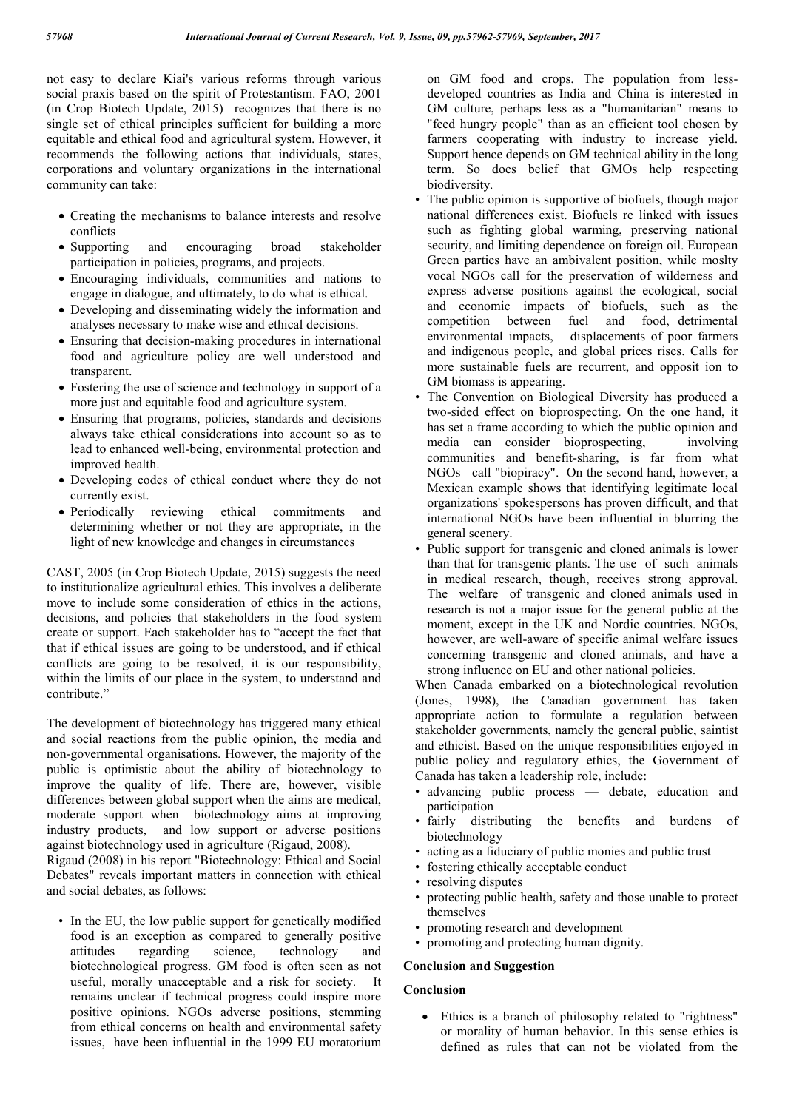not easy to declare Kiai's various reforms through various social praxis based on the spirit of Protestantism. FAO, 2001 (in Crop Biotech Update, 2015) recognizes that there is no single set of ethical principles sufficient for building a more equitable and ethical food and agricultural system. However, it recommends the following actions that individuals, states, corporations and voluntary organizations in the international community can take:

- Creating the mechanisms to balance interests and resolve conflicts
- Supporting and encouraging broad stakeholder participation in policies, programs, and projects.
- Encouraging individuals, communities and nations to engage in dialogue, and ultimately, to do what is ethical.
- Developing and disseminating widely the information and analyses necessary to make wise and ethical decisions.
- Ensuring that decision-making procedures in international food and agriculture policy are well understood and transparent.
- Fostering the use of science and technology in support of a more just and equitable food and agriculture system.
- Ensuring that programs, policies, standards and decisions always take ethical considerations into account so as to lead to enhanced well-being, environmental protection and improved health.
- Developing codes of ethical conduct where they do not currently exist.
- Periodically reviewing ethical commitments and determining whether or not they are appropriate, in the light of new knowledge and changes in circumstances

CAST, 2005 (in Crop Biotech Update, 2015) suggests the need to institutionalize agricultural ethics. This involves a deliberate move to include some consideration of ethics in the actions, decisions, and policies that stakeholders in the food system create or support. Each stakeholder has to "accept the fact that that if ethical issues are going to be understood, and if ethical conflicts are going to be resolved, it is our responsibility, within the limits of our place in the system, to understand and contribute."

The development of biotechnology has triggered many ethical and social reactions from the public opinion, the media and non-governmental organisations. However, the majority of the public is optimistic about the ability of biotechnology to improve the quality of life. There are, however, visible differences between global support when the aims are medical, moderate support when biotechnology aims at improving industry products, and low support or adverse positions against biotechnology used in agriculture (Rigaud, 2008).

Rigaud (2008) in his report "Biotechnology: Ethical and Social Debates" reveals important matters in connection with ethical and social debates, as follows:

• In the EU, the low public support for genetically modified food is an exception as compared to generally positive attitudes regarding science, technology and biotechnological progress. GM food is often seen as not useful, morally unacceptable and a risk for society. It remains unclear if technical progress could inspire more positive opinions. NGOs adverse positions, stemming from ethical concerns on health and environmental safety issues, have been influential in the 1999 EU moratorium

on GM food and crops. The population from lessdeveloped countries as India and China is interested in GM culture, perhaps less as a "humanitarian" means to "feed hungry people" than as an efficient tool chosen by farmers cooperating with industry to increase yield. Support hence depends on GM technical ability in the long term. So does belief that GMOs help respecting biodiversity.

- The public opinion is supportive of biofuels, though major national differences exist. Biofuels re linked with issues such as fighting global warming, preserving national security, and limiting dependence on foreign oil. European Green parties have an ambivalent position, while moslty vocal NGOs call for the preservation of wilderness and express adverse positions against the ecological, social and economic impacts of biofuels, such as the competition between fuel and food, detrimental environmental impacts, displacements of poor farmers and indigenous people, and global prices rises. Calls for more sustainable fuels are recurrent, and opposit ion to GM biomass is appearing.
- The Convention on Biological Diversity has produced a two-sided effect on bioprospecting. On the one hand, it has set a frame according to which the public opinion and media can consider bioprospecting, involving communities and benefit-sharing, is far from what NGOs call "biopiracy". On the second hand, however, a Mexican example shows that identifying legitimate local organizations' spokespersons has proven difficult, and that international NGOs have been influential in blurring the general scenery.
- Public support for transgenic and cloned animals is lower than that for transgenic plants. The use of such animals in medical research, though, receives strong approval. The welfare of transgenic and cloned animals used in research is not a major issue for the general public at the moment, except in the UK and Nordic countries. NGOs, however, are well-aware of specific animal welfare issues concerning transgenic and cloned animals, and have a strong influence on EU and other national policies.

When Canada embarked on a biotechnological revolution (Jones, 1998), the Canadian government has taken appropriate action to formulate a regulation between stakeholder governments, namely the general public, saintist and ethicist. Based on the unique responsibilities enjoyed in public policy and regulatory ethics, the Government of Canada has taken a leadership role, include:

- advancing public process debate, education and participation
- fairly distributing the benefits and burdens of biotechnology
- acting as a fiduciary of public monies and public trust
- fostering ethically acceptable conduct
- resolving disputes
- protecting public health, safety and those unable to protect themselves
- promoting research and development
- promoting and protecting human dignity.

### **Conclusion and Suggestion**

### **Conclusion**

 Ethics is a branch of philosophy related to "rightness" or morality of human behavior. In this sense ethics is defined as rules that can not be violated from the